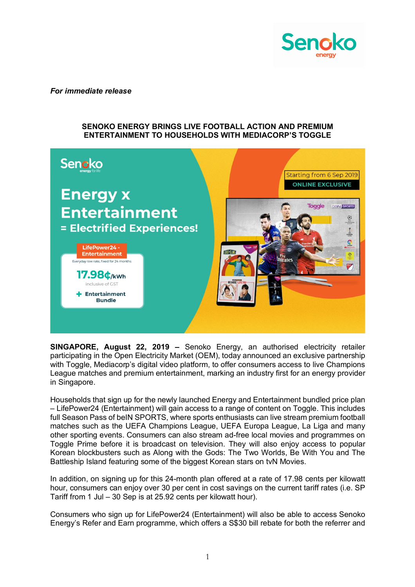

*For immediate release*

## **SENOKO ENERGY BRINGS LIVE FOOTBALL ACTION AND PREMIUM ENTERTAINMENT TO HOUSEHOLDS WITH MEDIACORP'S TOGGLE**



**SINGAPORE, August 22, 2019 –** Senoko Energy, an authorised electricity retailer participating in the Open Electricity Market (OEM), today announced an exclusive partnership with Toggle, Mediacorp's digital video platform, to offer consumers access to live Champions League matches and premium entertainment, marking an industry first for an energy provider in Singapore.

Households that sign up for the newly launched Energy and Entertainment bundled price plan – LifePower24 (Entertainment) will gain access to a range of content on Toggle. This includes full Season Pass of beIN SPORTS, where sports enthusiasts can live stream premium football matches such as the UEFA Champions League, UEFA Europa League, La Liga and many other sporting events. Consumers can also stream ad-free local movies and programmes on Toggle Prime before it is broadcast on television. They will also enjoy access to popular Korean blockbusters such as Along with the Gods: The Two Worlds, Be With You and The Battleship Island featuring some of the biggest Korean stars on tvN Movies.

In addition, on signing up for this 24-month plan offered at a rate of 17.98 cents per kilowatt hour, consumers can enjoy over 30 per cent in cost savings on the current tariff rates (i.e. SP Tariff from 1 Jul – 30 Sep is at 25.92 cents per kilowatt hour).

Consumers who sign up for LifePower24 (Entertainment) will also be able to access Senoko Energy's Refer and Earn programme, which offers a S\$30 bill rebate for both the referrer and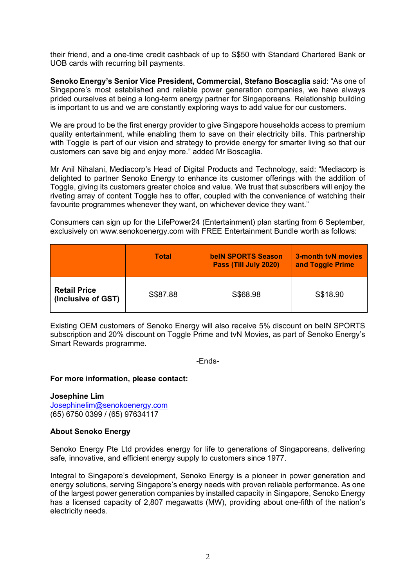their friend, and a one-time credit cashback of up to S\$50 with Standard Chartered Bank or UOB cards with recurring bill payments.

**Senoko Energy's Senior Vice President, Commercial, Stefano Boscaglia** said: "As one of Singapore's most established and reliable power generation companies, we have always prided ourselves at being a long-term energy partner for Singaporeans. Relationship building is important to us and we are constantly exploring ways to add value for our customers.

We are proud to be the first energy provider to give Singapore households access to premium quality entertainment, while enabling them to save on their electricity bills. This partnership with Toggle is part of our vision and strategy to provide energy for smarter living so that our customers can save big and enjoy more." added Mr Boscaglia.

Mr Anil Nihalani, Mediacorp's Head of Digital Products and Technology, said: "Mediacorp is delighted to partner Senoko Energy to enhance its customer offerings with the addition of Toggle, giving its customers greater choice and value. We trust that subscribers will enjoy the riveting array of content Toggle has to offer, coupled with the convenience of watching their favourite programmes whenever they want, on whichever device they want."

Consumers can sign up for the LifePower24 (Entertainment) plan starting from 6 September, exclusively on www.senokoenergy.com with FREE Entertainment Bundle worth as follows:

|                                           | <b>Total</b> | <b>belN SPORTS Season</b><br>Pass (Till July 2020) | 3-month tyN movies<br>and Toggle Prime |
|-------------------------------------------|--------------|----------------------------------------------------|----------------------------------------|
| <b>Retail Price</b><br>(Inclusive of GST) | S\$87.88     | S\$68.98                                           | S\$18.90                               |

Existing OEM customers of Senoko Energy will also receive 5% discount on beIN SPORTS subscription and 20% discount on Toggle Prime and tvN Movies, as part of Senoko Energy's Smart Rewards programme.

-Ends-

## **For more information, please contact:**

**Josephine Lim** Josephinelim@senokoenergy.com (65) 6750 0399 / (65) 97634117

## **About Senoko Energy**

Senoko Energy Pte Ltd provides energy for life to generations of Singaporeans, delivering safe, innovative, and efficient energy supply to customers since 1977.

Integral to Singapore's development, Senoko Energy is a pioneer in power generation and energy solutions, serving Singapore's energy needs with proven reliable performance. As one of the largest power generation companies by installed capacity in Singapore, Senoko Energy has a licensed capacity of 2,807 megawatts (MW), providing about one-fifth of the nation's electricity needs.